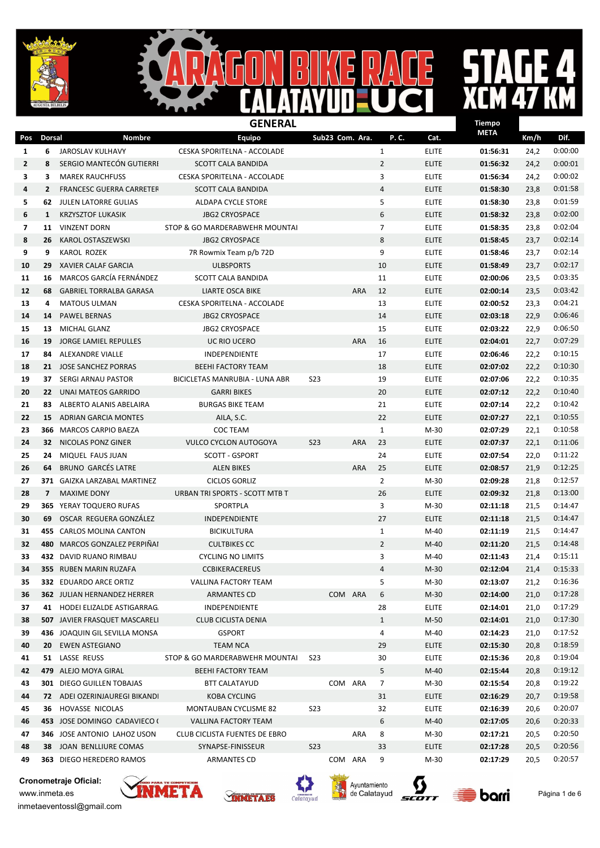



#### $\overline{\mathbf{A}}$

|                          | <b>GENERAL</b><br>Tiempo |                                      |                                |                 |         |                 |                |              |             |      |         |
|--------------------------|--------------------------|--------------------------------------|--------------------------------|-----------------|---------|-----------------|----------------|--------------|-------------|------|---------|
| Pos                      | <b>Dorsal</b>            | Nombre                               | <b>Equipo</b>                  |                 |         | Sub23 Com. Ara. | P.C.           | Cat.         | <b>META</b> | Km/h | Dif.    |
| 1                        | 6                        | JAROSLAV KULHAVY                     | CESKA SPORITELNA - ACCOLADE    |                 |         |                 | $\mathbf{1}$   | <b>ELITE</b> | 01:56:31    | 24,2 | 0:00:00 |
| $\mathbf{2}$             | 8                        | SERGIO MANTECÓN GUTIERRI             | <b>SCOTT CALA BANDIDA</b>      |                 |         |                 | $\overline{2}$ | <b>ELITE</b> | 01:56:32    | 24,2 | 0:00:01 |
| 3                        | 3                        | <b>MAREK RAUCHFUSS</b>               | CESKA SPORITELNA - ACCOLADE    |                 |         |                 | 3              | <b>ELITE</b> | 01:56:34    | 24,2 | 0:00:02 |
| 4                        | $\overline{2}$           | <b>FRANCESC GUERRA CARRETER</b>      | <b>SCOTT CALA BANDIDA</b>      |                 |         |                 | $\overline{4}$ | <b>ELITE</b> | 01:58:30    | 23,8 | 0:01:58 |
| 5                        | 62                       | <b>JULEN LATORRE GULIAS</b>          | ALDAPA CYCLE STORE             |                 |         |                 | 5              | <b>ELITE</b> | 01:58:30    | 23,8 | 0:01:59 |
| 6                        | $\mathbf{1}$             | <b>KRZYSZTOF LUKASIK</b>             | <b>JBG2 CRYOSPACE</b>          |                 |         |                 | 6              | <b>ELITE</b> | 01:58:32    | 23,8 | 0:02:00 |
| $\overline{\phantom{a}}$ | 11                       | <b>VINZENT DORN</b>                  | STOP & GO MARDERABWEHR MOUNTAI |                 |         |                 | $\overline{7}$ | <b>ELITE</b> | 01:58:35    | 23,8 | 0:02:04 |
| 8                        | 26                       | KAROL OSTASZEWSKI                    | <b>JBG2 CRYOSPACE</b>          |                 |         |                 | 8              | <b>ELITE</b> | 01:58:45    | 23,7 | 0:02:14 |
| 9                        | 9                        | <b>KAROL ROZEK</b>                   | 7R Rowmix Team p/b 72D         |                 |         |                 | 9              | <b>ELITE</b> | 01:58:46    | 23,7 | 0:02:14 |
| 10                       | 29                       | <b>XAVIER CALAF GARCIA</b>           | <b>ULBSPORTS</b>               |                 |         |                 | 10             | <b>ELITE</b> | 01:58:49    | 23,7 | 0:02:17 |
| 11                       | 16                       | MARCOS GARCÍA FERNÁNDEZ              | <b>SCOTT CALA BANDIDA</b>      |                 |         |                 | 11             | <b>ELITE</b> | 02:00:06    | 23,5 | 0:03:35 |
| 12                       | 68                       | <b>GABRIEL TORRALBA GARASA</b>       | LIARTE OSCA BIKE               |                 |         | <b>ARA</b>      | 12             | <b>ELITE</b> | 02:00:14    | 23,5 | 0:03:42 |
| 13                       | 4                        | <b>MATOUS ULMAN</b>                  | CESKA SPORITELNA - ACCOLADE    |                 |         |                 | 13             | <b>ELITE</b> | 02:00:52    | 23,3 | 0:04:21 |
| 14                       | 14                       | <b>PAWEL BERNAS</b>                  | <b>JBG2 CRYOSPACE</b>          |                 |         |                 | 14             | <b>ELITE</b> | 02:03:18    | 22,9 | 0:06:46 |
| 15                       | 13                       | MICHAL GLANZ                         | <b>JBG2 CRYOSPACE</b>          |                 |         |                 | 15             | <b>ELITE</b> | 02:03:22    | 22,9 | 0:06:50 |
| 16                       | 19                       | <b>JORGE LAMIEL REPULLES</b>         | UC RIO UCERO                   |                 |         | <b>ARA</b>      | 16             | <b>ELITE</b> | 02:04:01    | 22,7 | 0:07:29 |
| 17                       | 84                       | ALEXANDRE VIALLE                     | INDEPENDIENTE                  |                 |         |                 | 17             | <b>ELITE</b> | 02:06:46    | 22,2 | 0:10:15 |
| 18                       |                          | 21 JOSE SANCHEZ PORRAS               | <b>BEEHI FACTORY TEAM</b>      |                 |         |                 | 18             | <b>ELITE</b> | 02:07:02    | 22,2 | 0:10:30 |
| 19                       | 37                       | <b>SERGI ARNAU PASTOR</b>            | BICICLETAS MANRUBIA - LUNA ABR | <b>S23</b>      |         |                 | 19             | <b>ELITE</b> | 02:07:06    | 22,2 | 0:10:35 |
| 20                       | 22 <sub>2</sub>          | UNAI MATEOS GARRIDO                  | <b>GARRI BIKES</b>             |                 |         |                 | 20             | <b>ELITE</b> | 02:07:12    | 22,2 | 0:10:40 |
| 21                       | 83                       | ALBERTO ALANIS ABELAIRA              | <b>BURGAS BIKE TEAM</b>        |                 |         |                 | 21             | <b>ELITE</b> | 02:07:14    | 22,2 | 0:10:42 |
| 22                       |                          | <b>15 ADRIAN GARCIA MONTES</b>       | AILA, S.C.                     |                 |         |                 | 22             | <b>ELITE</b> | 02:07:27    | 22,1 | 0:10:55 |
| 23                       |                          | <b>366 MARCOS CARPIO BAEZA</b>       | <b>COC TEAM</b>                |                 |         |                 | $\mathbf{1}$   | $M-30$       | 02:07:29    | 22,1 | 0:10:58 |
| 24                       | 32                       | NICOLAS PONZ GINER                   | <b>VULCO CYCLON AUTOGOYA</b>   | <b>S23</b>      |         | <b>ARA</b>      | 23             | <b>ELITE</b> | 02:07:37    | 22,1 | 0:11:06 |
| 25                       | 24                       | MIQUEL FAUS JUAN                     | <b>SCOTT - GSPORT</b>          |                 |         |                 | 24             | <b>ELITE</b> | 02:07:54    | 22,0 | 0:11:22 |
| 26                       | 64                       | <b>BRUNO GARCÉS LATRE</b>            | <b>ALEN BIKES</b>              |                 |         | <b>ARA</b>      | 25             | <b>ELITE</b> | 02:08:57    | 21,9 | 0:12:25 |
| 27                       |                          | 371 GAIZKA LARZABAL MARTINEZ         | <b>CICLOS GORLIZ</b>           |                 |         |                 | $\overline{2}$ | $M-30$       | 02:09:28    | 21,8 | 0:12:57 |
| 28                       | $\overline{7}$           | <b>MAXIME DONY</b>                   | URBAN TRI SPORTS - SCOTT MTB T |                 |         |                 | 26             | <b>ELITE</b> | 02:09:32    | 21,8 | 0:13:00 |
| 29                       |                          | <b>365 YERAY TOQUERO RUFAS</b>       | SPORTPLA                       |                 |         |                 | 3              | $M-30$       | 02:11:18    | 21,5 | 0:14:47 |
| 30                       | 69                       | OSCAR REGUERA GONZÁLEZ               | INDEPENDIENTE                  |                 |         |                 | 27             | <b>ELITE</b> | 02:11:18    | 21,5 | 0:14:47 |
| 31                       |                          | 455 CARLOS MOLINA CANTON             | <b>BICIKULTURA</b>             |                 |         |                 | $\mathbf{1}$   | M-40         | 02:11:19    | 21,5 | 0:14:47 |
| 32                       |                          | 480 MARCOS GONZALEZ PERPIÑAI         | <b>CULTBIKES CC</b>            |                 |         |                 | $\overline{2}$ | $M-40$       | 02:11:20    | 21,5 | 0:14:48 |
| 33                       |                          | 432 DAVID RUANO RIMBAU               | <b>CYCLING NO LIMITS</b>       |                 |         |                 | 3              | $M-40$       | 02:11:43    | 21,4 | 0:15:11 |
| 34                       |                          | 355 RUBEN MARIN RUZAFA               | <b>CCBIKERACEREUS</b>          |                 |         |                 | 4              | $M-30$       | 02:12:04    | 21,4 | 0:15:33 |
| 35                       |                          | 332 EDUARDO ARCE ORTIZ               | VALLINA FACTORY TEAM           |                 |         |                 | 5              | M-30         | 02:13:07    | 21,2 | 0:16:36 |
| 36                       |                          | <b>362 JULIAN HERNANDEZ HERRER</b>   | ARMANTES CD                    |                 | COM ARA |                 | 6              | $M-30$       | 02:14:00    | 21,0 | 0:17:28 |
| 37                       |                          | 41 HODEI ELIZALDE ASTIGARRAG.        | INDEPENDIENTE                  |                 |         |                 | 28             | <b>ELITE</b> | 02:14:01    | 21,0 | 0:17:29 |
| 38                       |                          | <b>507 JAVIER FRASQUET MASCARELI</b> | <b>CLUB CICLISTA DENIA</b>     |                 |         |                 | $\mathbf{1}$   | M-50         | 02:14:01    | 21,0 | 0:17:30 |
| 39                       |                          | 436 JOAQUIN GIL SEVILLA MONSA        | <b>GSPORT</b>                  |                 |         |                 | 4              | M-40         | 02:14:23    | 21,0 | 0:17:52 |
| 40                       | 20                       | <b>EWEN ASTEGIANO</b>                | <b>TEAM NCA</b>                |                 |         |                 | 29             | <b>ELITE</b> | 02:15:30    | 20,8 | 0:18:59 |
| 41                       |                          | 51 LASSE REUSS                       | STOP & GO MARDERABWEHR MOUNTAI | S <sub>23</sub> |         |                 | 30             | <b>ELITE</b> | 02:15:36    | 20,8 | 0:19:04 |
| 42                       |                          | 479 ALEJO MOYA GIRAL                 | <b>BEEHI FACTORY TEAM</b>      |                 |         |                 | 5              | $M-40$       | 02:15:44    | 20,8 | 0:19:12 |
| 43                       |                          | <b>301 DIEGO GUILLEN TOBAJAS</b>     | <b>BTT CALATAYUD</b>           |                 | COM ARA |                 | $\overline{7}$ | M-30         | 02:15:54    | 20,8 | 0:19:22 |
| 44                       |                          | 72 ADEI OZERINJAUREGI BIKANDI        | <b>KOBA CYCLING</b>            |                 |         |                 | 31             | <b>ELITE</b> | 02:16:29    | 20,7 | 0:19:58 |
| 45                       | 36                       | HOVASSE NICOLAS                      | MONTAUBAN CYCLISME 82          | <b>S23</b>      |         |                 | 32             | <b>ELITE</b> | 02:16:39    | 20,6 | 0:20:07 |
| 46                       |                          | 453 JOSE DOMINGO CADAVIECO (         | VALLINA FACTORY TEAM           |                 |         |                 | 6              | $M-40$       | 02:17:05    | 20,6 | 0:20:33 |
| 47                       |                          | 346 JOSE ANTONIO LAHOZ USON          | CLUB CICLISTA FUENTES DE EBRO  |                 |         | ARA             | 8              | M-30         | 02:17:21    | 20,5 | 0:20:50 |
| 48                       |                          | <b>38 JOAN BENLLIURE COMAS</b>       | SYNAPSE-FINISSEUR              | <b>S23</b>      |         |                 | 33             | <b>ELITE</b> | 02:17:28    | 20,5 | 0:20:56 |
| 49                       |                          | 363 DIEGO HEREDERO RAMOS             | ARMANTES CD                    |                 | COM ARA |                 | 9              | $M-30$       | 02:17:29    | 20,5 | 0:20:57 |











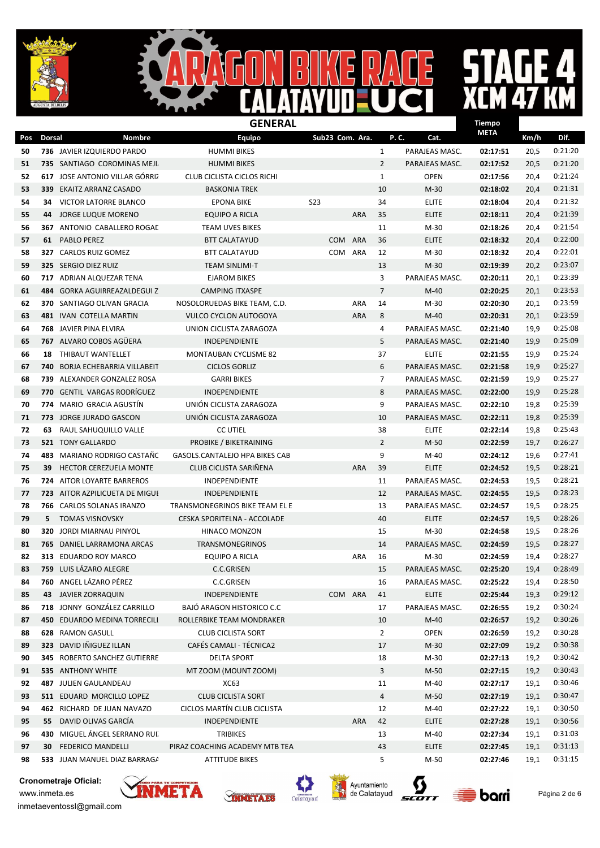$\mathbf{I}$  $\blacksquare$ D

## $\overline{a}$

 $\overline{\mathsf{B}}$ 

|     |               | <b>GENERAL</b>                        |                                       |                 |            |                |                |             |      |         |
|-----|---------------|---------------------------------------|---------------------------------------|-----------------|------------|----------------|----------------|-------------|------|---------|
| Pos | <b>Dorsal</b> | <b>Nombre</b>                         | <b>Equipo</b>                         | Sub23 Com. Ara. |            |                | P.C.<br>Cat.   | <b>META</b> | Km/h | Dif.    |
| 50  |               | 736 JAVIER IZQUIERDO PARDO            | <b>HUMMI BIKES</b>                    |                 |            | $\mathbf{1}$   | PARAJEAS MASC. | 02:17:51    | 20,5 | 0:21:20 |
| 51  |               | 735 SANTIAGO COROMINAS MEJI.          | <b>HUMMI BIKES</b>                    |                 |            | $\overline{2}$ | PARAJEAS MASC. | 02:17:52    | 20,5 | 0:21:20 |
| 52  |               | 617 JOSE ANTONIO VILLAR GÓRRIZ        | <b>CLUB CICLISTA CICLOS RICHI</b>     |                 |            | $\mathbf{1}$   | <b>OPEN</b>    | 02:17:56    | 20,4 | 0:21:24 |
| 53  | 339           | EKAITZ ARRANZ CASADO                  | <b>BASKONIA TREK</b>                  |                 |            | 10             | $M-30$         | 02:18:02    | 20,4 | 0:21:31 |
| 54  | 34            | VICTOR LATORRE BLANCO                 | <b>EPONA BIKE</b>                     | <b>S23</b>      |            | 34             | <b>ELITE</b>   | 02:18:04    | 20,4 | 0:21:32 |
| 55  |               | 44 JORGE LUQUE MORENO                 | EQUIPO A RICLA                        |                 | <b>ARA</b> | 35             | <b>ELITE</b>   | 02:18:11    | 20,4 | 0:21:39 |
| 56  |               | <b>367 ANTONIO CABALLERO ROGAL</b>    | <b>TEAM UVES BIKES</b>                |                 |            | 11             | M-30           | 02:18:26    | 20,4 | 0:21:54 |
| 57  | 61            | <b>PABLO PEREZ</b>                    | <b>BTT CALATAYUD</b>                  | <b>COM</b>      | <b>ARA</b> | 36             | <b>ELITE</b>   | 02:18:32    | 20,4 | 0:22:00 |
| 58  |               | 327 CARLOS RUIZ GOMEZ                 | <b>BTT CALATAYUD</b>                  | COM             | <b>ARA</b> | 12             | $M-30$         | 02:18:32    | 20,4 | 0:22:01 |
| 59  |               | 325 SERGIO DIEZ RUIZ                  | <b>TEAM SINLIMI-T</b>                 |                 |            | 13             | $M-30$         | 02:19:39    | 20,2 | 0:23:07 |
| 60  |               | 717 ADRIAN ALQUEZAR TENA              | <b>EJAROM BIKES</b>                   |                 |            | 3              | PARAJEAS MASC. | 02:20:11    | 20,1 | 0:23:39 |
| 61  |               | 484 GORKA AGUIRREAZALDEGUI Z          | <b>CAMPING ITXASPE</b>                |                 |            | $\overline{7}$ | $M-40$         | 02:20:25    | 20,1 | 0:23:53 |
| 62  |               | 370 SANTIAGO OLIVAN GRACIA            | NOSOLORUEDAS BIKE TEAM, C.D.          |                 | <b>ARA</b> | 14             | $M-30$         | 02:20:30    | 20,1 | 0:23:59 |
| 63  |               | 481 IVAN COTELLA MARTIN               | <b>VULCO CYCLON AUTOGOYA</b>          |                 | <b>ARA</b> | 8              | $M-40$         | 02:20:31    | 20,1 | 0:23:59 |
| 64  |               | 768 JAVIER PINA ELVIRA                | UNION CICLISTA ZARAGOZA               |                 |            | 4              | PARAJEAS MASC. | 02:21:40    | 19,9 | 0:25:08 |
| 65  |               | 767 ALVARO COBOS AGÜERA               | INDEPENDIENTE                         |                 |            | 5              | PARAJEAS MASC. | 02:21:40    | 19,9 | 0:25:09 |
| 66  | 18            | THIBAUT WANTELLET                     | <b>MONTAUBAN CYCLISME 82</b>          |                 |            | 37             | <b>ELITE</b>   | 02:21:55    | 19,9 | 0:25:24 |
| 67  | 740           | <b>BORJA ECHEBARRIA VILLABEIT</b>     | <b>CICLOS GORLIZ</b>                  |                 |            | 6              | PARAJEAS MASC. | 02:21:58    | 19,9 | 0:25:27 |
| 68  |               | 739 ALEXANDER GONZALEZ ROSA           | <b>GARRI BIKES</b>                    |                 |            | $\overline{7}$ | PARAJEAS MASC. | 02:21:59    | 19,9 | 0:25:27 |
| 69  | 770           | GENTIL VARGAS RODRÍGUEZ               | INDEPENDIENTE                         |                 |            | 8              | PARAJEAS MASC. | 02:22:00    | 19,9 | 0:25:28 |
| 70  |               | 774 MARIO GRACIA AGUSTÍN              | UNIÓN CICLISTA ZARAGOZA               |                 |            | 9              | PARAJEAS MASC. | 02:22:10    | 19,8 | 0:25:39 |
| 71  |               | 773 JORGE JURADO GASCON               | UNIÓN CICLISTA ZARAGOZA               |                 |            | 10             | PARAJEAS MASC. | 02:22:11    | 19,8 | 0:25:39 |
| 72  | 63            | RAUL SAHUQUILLO VALLE                 | <b>CC UTIEL</b>                       |                 |            | 38             | <b>ELITE</b>   | 02:22:14    | 19,8 | 0:25:43 |
| 73  |               | <b>521 TONY GALLARDO</b>              | PROBIKE / BIKETRAINING                |                 |            | $\overline{2}$ | $M-50$         | 02:22:59    | 19,7 | 0:26:27 |
| 74  | 483           | MARIANO RODRIGO CASTAÑO               | <b>GASOLS.CANTALEJO HPA BIKES CAB</b> |                 |            | 9              | M-40           | 02:24:12    | 19,6 | 0:27:41 |
| 75  | 39            | <b>HECTOR CEREZUELA MONTE</b>         | CLUB CICLISTA SARIÑENA                |                 | <b>ARA</b> | 39             | <b>ELITE</b>   | 02:24:52    | 19,5 | 0:28:21 |
| 76  |               | <b>724 AITOR LOYARTE BARREROS</b>     | INDEPENDIENTE                         |                 |            | 11             | PARAJEAS MASC. | 02:24:53    | 19,5 | 0:28:21 |
| 77  |               | <b>723 AITOR AZPILICUETA DE MIGUE</b> | <b>INDEPENDIENTE</b>                  |                 |            | 12             | PARAJEAS MASC. | 02:24:55    | 19,5 | 0:28:23 |
| 78  |               | 766 CARLOS SOLANAS IRANZO             | TRANSMONEGRINOS BIKE TEAM EL E        |                 |            | 13             | PARAJEAS MASC. | 02:24:57    | 19,5 | 0:28:25 |
| 79  | 5.            | <b>TOMAS VISNOVSKY</b>                | CESKA SPORITELNA - ACCOLADE           |                 |            | 40             | <b>ELITE</b>   | 02:24:57    | 19,5 | 0:28:26 |
| 80  | 320           | JORDI MIARNAU PINYOL                  | HINACO MONZON                         |                 |            | 15             | $M-30$         | 02:24:58    | 19,5 | 0:28:26 |
| 81  |               | 765 DANIEL LARRAMONA ARCAS            | <b>TRANSMONEGRINOS</b>                |                 |            | 14             | PARAJEAS MASC. | 02:24:59    | 19,5 | 0:28:27 |
| 82  |               | 313 EDUARDO ROY MARCO                 | <b>EQUIPO A RICLA</b>                 |                 | <b>ARA</b> | 16             | $M-30$         | 02:24:59    | 19,4 | 0:28:27 |
| 83  |               | 759 LUIS LÁZARO ALEGRE                | C.C.GRISEN                            |                 |            | 15             | PARAJEAS MASC. | 02:25:20    | 19,4 | 0:28:49 |
| 84  |               | 760 ANGEL LÁZARO PÉREZ                | C.C.GRISEN                            |                 |            | 16             | PARAJEAS MASC. | 02:25:22    | 19,4 | 0:28:50 |
| 85  |               | 43 JAVIER ZORRAQUIN                   | INDEPENDIENTE                         | COM ARA         |            | 41             | <b>ELITE</b>   | 02:25:44    | 19,3 | 0:29:12 |
| 86  |               | 718 JONNY GONZÁLEZ CARRILLO           | <b>BAJÓ ARAGON HISTORICO C.C</b>      |                 |            | 17             | PARAJEAS MASC. | 02:26:55    | 19,2 | 0:30:24 |
| 87  |               | <b>450 EDUARDO MEDINA TORRECILI</b>   | ROLLERBIKE TEAM MONDRAKER             |                 |            | 10             | M-40           | 02:26:57    | 19,2 | 0:30:26 |
| 88  |               | 628 RAMON GASULL                      | <b>CLUB CICLISTA SORT</b>             |                 |            | $\overline{2}$ | <b>OPEN</b>    | 02:26:59    | 19,2 | 0:30:28 |
| 89  |               | 323 DAVID INIGUEZ ILLAN               | CAFÉS CAMALI - TÉCNICA2               |                 |            | 17             | $M-30$         | 02:27:09    | 19,2 | 0:30:38 |
| 90  |               | 345 ROBERTO SANCHEZ GUTIERRE          | <b>DELTA SPORT</b>                    |                 |            | 18             | M-30           | 02:27:13    | 19,2 | 0:30:42 |
| 91  |               | 535 ANTHONY WHITE                     | MT ZOOM (MOUNT ZOOM)                  |                 |            | 3              | $M-50$         | 02:27:15    | 19,2 | 0:30:43 |
| 92  |               | 487 JULIEN GAULANDEAU                 | XC63                                  |                 |            | 11             | M-40           | 02:27:17    | 19,1 | 0:30:46 |
| 93  |               | 511 EDUARD MORCILLO LOPEZ             | <b>CLUB CICLISTA SORT</b>             |                 |            | 4              | $M-50$         | 02:27:19    | 19,1 | 0:30:47 |
| 94  |               | 462 RICHARD DE JUAN NAVAZO            | CICLOS MARTÍN CLUB CICLISTA           |                 |            | 12             | M-40           | 02:27:22    | 19,1 | 0:30:50 |
| 95  | 55            | DAVID OLIVAS GARCÍA                   | INDEPENDIENTE                         |                 | <b>ARA</b> | 42             | <b>ELITE</b>   | 02:27:28    | 19,1 | 0:30:56 |
| 96  | 430           | MIGUEL ÁNGEL SERRANO RUI.             | <b>TRIBIKES</b>                       |                 |            | 13             | $M-40$         | 02:27:34    | 19,1 | 0:31:03 |
| 97  | 30            | <b>FEDERICO MANDELLI</b>              | PIRAZ COACHING ACADEMY MTB TEA        |                 |            | 43             | ELITE          | 02:27:45    | 19,1 | 0:31:13 |
| 98  |               | 533 JUAN MANUEL DIAZ BARRAGA          | <b>ATTITUDE BIKES</b>                 |                 |            | 5              | M-50           | 02:27:46    | 19,1 | 0:31:15 |









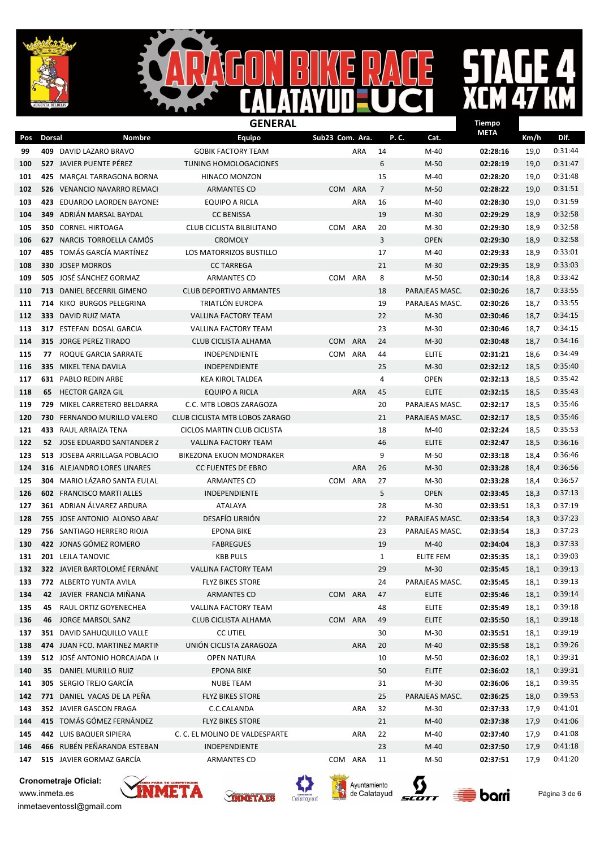$\mathbf{I}$ D  $\overline{\mathbf{D}}$ 

# E 4  $\overline{\mathbf{A}}$

 $\overline{\mathsf{B}}$ 

|     | <b>GENERAL</b><br><b>Tiempo</b> |                                   |                                 |                 |            |                |                  |             |      |         |
|-----|---------------------------------|-----------------------------------|---------------------------------|-----------------|------------|----------------|------------------|-------------|------|---------|
| Pos | <b>Dorsal</b>                   | Nombre                            | <b>Equipo</b>                   | Sub23 Com. Ara. |            | P.C.           | Cat.             | <b>META</b> | Km/h | Dif.    |
| 99  |                                 | 409 DAVID LAZARO BRAVO            | <b>GOBIK FACTORY TEAM</b>       |                 | <b>ARA</b> | 14             | $M-40$           | 02:28:16    | 19,0 | 0:31:44 |
| 100 |                                 | 527 JAVIER PUENTE PÉREZ           | <b>TUNING HOMOLOGACIONES</b>    |                 |            | 6              | $M-50$           | 02:28:19    | 19,0 | 0:31:47 |
| 101 | 425                             | MARCAL TARRAGONA BORNA            | <b>HINACO MONZON</b>            |                 |            | 15             | $M-40$           | 02:28:20    | 19,0 | 0:31:48 |
| 102 | 526                             | <b>VENANCIO NAVARRO REMACI</b>    | <b>ARMANTES CD</b>              | <b>COM</b>      | <b>ARA</b> | $\overline{7}$ | $M-50$           | 02:28:22    | 19,0 | 0:31:51 |
| 103 |                                 | 423 EDUARDO LAORDEN BAYONES       | EQUIPO A RICLA                  |                 | <b>ARA</b> | 16             | M-40             | 02:28:30    | 19,0 | 0:31:59 |
| 104 | 349                             | ADRIÁN MARSAL BAYDAL              | <b>CC BENISSA</b>               |                 |            | 19             | $M-30$           | 02:29:29    | 18,9 | 0:32:58 |
| 105 |                                 | <b>350 CORNEL HIRTOAGA</b>        | CLUB CICLISTA BILBILITANO       | COM             | ARA        | 20             | M-30             | 02:29:30    | 18,9 | 0:32:58 |
| 106 |                                 | <b>627 NARCIS TORROELLA CAMÓS</b> | <b>CROMOLY</b>                  |                 |            | 3              | <b>OPEN</b>      | 02:29:30    | 18,9 | 0:32:58 |
| 107 |                                 | 485 TOMÁS GARCÍA MARTÍNEZ         | LOS MATORRIZOS BUSTILLO         |                 |            | 17             | M-40             | 02:29:33    | 18,9 | 0:33:01 |
| 108 |                                 | 330 JOSEP MORROS                  | <b>CC TARREGA</b>               |                 |            | 21             | $M-30$           | 02:29:35    | 18,9 | 0:33:03 |
| 109 |                                 | 505 JOSÉ SÁNCHEZ GORMAZ           | <b>ARMANTES CD</b>              | COM ARA         |            | 8              | M-50             | 02:30:14    | 18,8 | 0:33:42 |
| 110 |                                 | 713 DANIEL BECERRIL GIMENO        | <b>CLUB DEPORTIVO ARMANTES</b>  |                 |            | 18             | PARAJEAS MASC.   | 02:30:26    | 18,7 | 0:33:55 |
| 111 |                                 | 714 KIKO BURGOS PELEGRINA         | TRIATLÓN EUROPA                 |                 |            | 19             | PARAJEAS MASC.   | 02:30:26    | 18,7 | 0:33:55 |
| 112 |                                 | 333 DAVID RUIZ MATA               | <b>VALLINA FACTORY TEAM</b>     |                 |            | 22             | $M-30$           | 02:30:46    | 18,7 | 0:34:15 |
| 113 |                                 | 317 ESTEFAN DOSAL GARCIA          | <b>VALLINA FACTORY TEAM</b>     |                 |            | 23             | $M-30$           | 02:30:46    | 18,7 | 0:34:15 |
| 114 | 315                             | JORGE PEREZ TIRADO                | <b>CLUB CICLISTA ALHAMA</b>     | <b>COM</b>      | ARA        | 24             | $M-30$           | 02:30:48    | 18,7 | 0:34:16 |
| 115 | 77                              | ROQUE GARCIA SARRATE              | <b>INDEPENDIENTE</b>            | COM ARA         |            | 44             | <b>ELITE</b>     | 02:31:21    | 18,6 | 0:34:49 |
| 116 | 335                             | MIKEL TENA DAVILA                 | <b>INDEPENDIENTE</b>            |                 |            | 25             | $M-30$           | 02:32:12    | 18,5 | 0:35:40 |
| 117 |                                 | 631 PABLO REDIN ARBE              | <b>KEA KIROL TALDEA</b>         |                 |            | 4              | <b>OPEN</b>      | 02:32:13    | 18,5 | 0:35:42 |
| 118 | 65                              | HECTOR GARZA GIL                  | <b>EQUIPO A RICLA</b>           |                 | <b>ARA</b> | 45             | <b>ELITE</b>     | 02:32:15    | 18,5 | 0:35:43 |
| 119 | 729                             | MIKEL CARRETERO BELDARRA          | C.C. MTB LOBOS ZARAGOZA         |                 |            | 20             | PARAJEAS MASC.   | 02:32:17    | 18,5 | 0:35:46 |
| 120 | 730                             | FERNANDO MURILLO VALERO           | CLUB CICLISTA MTB LOBOS ZARAGO  |                 |            | 21             | PARAJEAS MASC.   | 02:32:17    | 18,5 | 0:35:46 |
| 121 |                                 | 433 RAUL ARRAIZA TENA             | CICLOS MARTIN CLUB CICLISTA     |                 |            | 18             | M-40             | 02:32:24    | 18,5 | 0:35:53 |
| 122 |                                 | 52 JOSE EDUARDO SANTANDER Z       | <b>VALLINA FACTORY TEAM</b>     |                 |            | 46             | <b>ELITE</b>     | 02:32:47    | 18,5 | 0:36:16 |
| 123 | 513                             | JOSEBA ARRILLAGA POBLACIO         | <b>BIKEZONA EKUON MONDRAKER</b> |                 |            | 9              | $M-50$           | 02:33:18    | 18,4 | 0:36:46 |
| 124 | 316                             | ALEJANDRO LORES LINARES           | <b>CC FUENTES DE EBRO</b>       |                 | <b>ARA</b> | 26             | $M-30$           | 02:33:28    | 18,4 | 0:36:56 |
| 125 |                                 | 304 MARIO LÁZARO SANTA EULAL      | <b>ARMANTES CD</b>              | COM             | ARA        | 27             | $M-30$           | 02:33:28    | 18,4 | 0:36:57 |
| 126 |                                 | <b>602 FRANCISCO MARTI ALLES</b>  | <b>INDEPENDIENTE</b>            |                 |            | 5              | <b>OPEN</b>      | 02:33:45    | 18,3 | 0:37:13 |
| 127 |                                 | 361 ADRIAN ÁLVAREZ ARDURA         | ATALAYA                         |                 |            | 28             | $M-30$           | 02:33:51    | 18,3 | 0:37:19 |
| 128 |                                 | 755 JOSE ANTONIO ALONSO ABAI      | DESAFÍO URBIÓN                  |                 |            | 22             | PARAJEAS MASC.   | 02:33:54    | 18,3 | 0:37:23 |
| 129 |                                 | 756 SANTIAGO HERRERO RIOJA        | <b>EPONA BIKE</b>               |                 |            | 23             | PARAJEAS MASC.   | 02:33:54    | 18,3 | 0:37:23 |
| 130 |                                 | 422 JONAS GÓMEZ ROMERO            | <b>FABREGUES</b>                |                 |            | 19             | $M-40$           | 02:34:04    | 18,3 | 0:37:33 |
| 131 |                                 | 201 LEJLA TANOVIC                 | <b>KBB PULS</b>                 |                 |            | $\mathbf{1}$   | <b>ELITE FEM</b> | 02:35:35    | 18,1 | 0:39:03 |
| 132 |                                 | 322 JAVIER BARTOLOMÉ FERNÁNE      | <b>VALLINA FACTORY TEAM</b>     |                 |            | 29             | $M-30$           | 02:35:45    | 18,1 | 0:39:13 |
| 133 |                                 | 772 ALBERTO YUNTA AVILA           | <b>FLYZ BIKES STORE</b>         |                 |            | 24             | PARAJEAS MASC.   | 02:35:45    | 18,1 | 0:39:13 |
| 134 |                                 | 42 JAVIER FRANCIA MIÑANA          | <b>ARMANTES CD</b>              | COM ARA         |            | 47             | <b>ELITE</b>     | 02:35:46    | 18,1 | 0:39:14 |
| 135 | 45                              | RAUL ORTIZ GOYENECHEA             | VALLINA FACTORY TEAM            |                 |            | 48             | <b>ELITE</b>     | 02:35:49    | 18,1 | 0:39:18 |
| 136 |                                 | 46 JORGE MARSOL SANZ              | CLUB CICLISTA ALHAMA            | COM ARA         |            | 49             | ELITE            | 02:35:50    | 18,1 | 0:39:18 |
| 137 |                                 | 351 DAVID SAHUQUILLO VALLE        | <b>CC UTIEL</b>                 |                 |            | 30             | $M-30$           | 02:35:51    | 18,1 | 0:39:19 |
| 138 |                                 | 474 JUAN FCO. MARTINEZ MARTIN     | UNIÓN CICLISTA ZARAGOZA         |                 | ARA        | 20             | M-40             | 02:35:58    | 18,1 | 0:39:26 |
| 139 |                                 | 512 JOSÉ ANTONIO HORCAJADA LI     | OPEN NATURA                     |                 |            | 10             | M-50             | 02:36:02    | 18,1 | 0:39:31 |
| 140 |                                 | 35 DANIEL MURILLO RUIZ            | <b>EPONA BIKE</b>               |                 |            | 50             | <b>ELITE</b>     | 02:36:02    | 18,1 | 0:39:31 |
| 141 |                                 | 305 SERGIO TREJO GARCÍA           | <b>NUBE TEAM</b>                |                 |            | 31             | $M-30$           | 02:36:06    | 18,1 | 0:39:35 |
| 142 |                                 | 771 DANIEL VACAS DE LA PEÑA       | <b>FLYZ BIKES STORE</b>         |                 |            | 25             | PARAJEAS MASC.   | 02:36:25    | 18,0 | 0:39:53 |
| 143 |                                 | 352 JAVIER GASCON FRAGA           | C.C.CALANDA                     |                 | ARA        | 32             | $M-30$           | 02:37:33    | 17,9 | 0:41:01 |
| 144 |                                 | 415 TOMÁS GÓMEZ FERNÁNDEZ         | <b>FLYZ BIKES STORE</b>         |                 |            | 21             | $M-40$           | 02:37:38    | 17,9 | 0:41:06 |
| 145 |                                 | 442 LUIS BAQUER SIPIERA           | C. C. EL MOLINO DE VALDESPARTE  |                 | ARA        | 22             | M-40             | 02:37:40    | 17,9 | 0:41:08 |
| 146 |                                 | 466 RUBÉN PEÑARANDA ESTEBAN       | INDEPENDIENTE                   |                 |            | 23             | $M-40$           | 02:37:50    | 17,9 | 0:41:18 |
| 147 |                                 | 515 JAVIER GORMAZ GARCÍA          | ARMANTES CD                     | COM ARA         |            | 11             | $M-50$           | 02:37:51    | 17,9 | 0:41:20 |









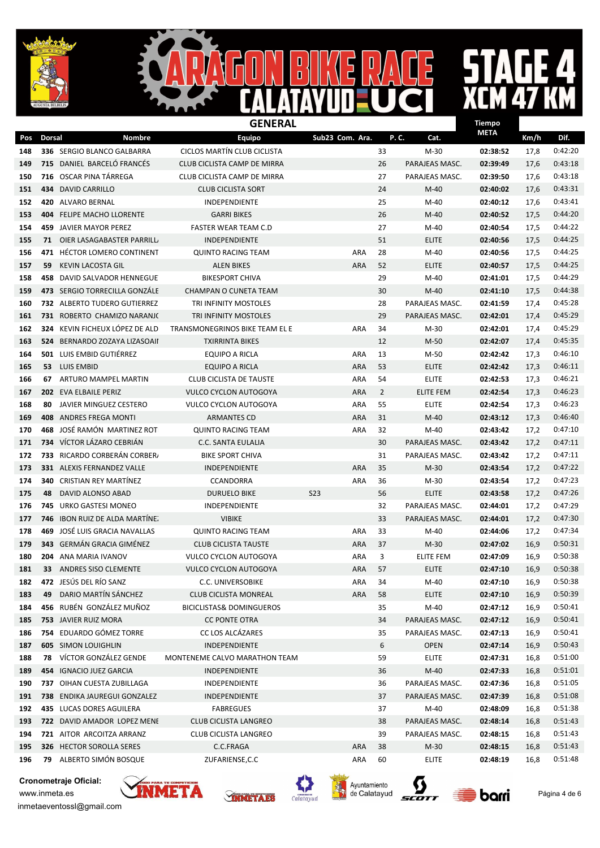

## $\boldsymbol{\Lambda}$

|     |               | <b>GENERAL</b><br>Tiempo        |                                     |                 |                |                  |             |      |         |
|-----|---------------|---------------------------------|-------------------------------------|-----------------|----------------|------------------|-------------|------|---------|
| Pos | <b>Dorsal</b> | Nombre                          | <b>Equipo</b>                       | Sub23 Com. Ara. |                | P.C.<br>Cat.     | <b>META</b> | Km/h | Dif.    |
| 148 |               | 336 SERGIO BLANCO GALBARRA      | CICLOS MARTÍN CLUB CICLISTA         |                 | 33             | $M-30$           | 02:38:52    | 17,8 | 0:42:20 |
| 149 |               | 715 DANIEL BARCELO FRANCÉS      | CLUB CICLISTA CAMP DE MIRRA         |                 | 26             | PARAJEAS MASC.   | 02:39:49    | 17,6 | 0:43:18 |
| 150 | 716           | OSCAR PINA TÁRREGA              | CLUB CICLISTA CAMP DE MIRRA         |                 | 27             | PARAJEAS MASC.   | 02:39:50    | 17,6 | 0:43:18 |
| 151 | 434           | <b>DAVID CARRILLO</b>           | <b>CLUB CICLISTA SORT</b>           |                 | 24             | $M-40$           | 02:40:02    | 17,6 | 0:43:31 |
| 152 | 420           | ALVARO BERNAL                   | <b>INDEPENDIENTE</b>                |                 | 25             | M-40             | 02:40:12    | 17,6 | 0:43:41 |
| 153 | 404           | <b>FELIPE MACHO LLORENTE</b>    | <b>GARRI BIKES</b>                  |                 | 26             | $M-40$           | 02:40:52    | 17,5 | 0:44:20 |
| 154 |               | <b>459 JAVIER MAYOR PEREZ</b>   | <b>FASTER WEAR TEAM C.D</b>         |                 | 27             | $M-40$           | 02:40:54    | 17,5 | 0:44:22 |
| 155 |               | 71 OIER LASAGABASTER PARRILL    | <b>INDEPENDIENTE</b>                |                 | 51             | <b>ELITE</b>     | 02:40:56    | 17,5 | 0:44:25 |
| 156 |               | 471 HÉCTOR LOMERO CONTINENT     | <b>QUINTO RACING TEAM</b>           | ARA             | 28             | M-40             | 02:40:56    | 17,5 | 0:44:25 |
| 157 | 59            | KEVIN LACOSTA GIL               | <b>ALEN BIKES</b>                   | <b>ARA</b>      | 52             | <b>ELITE</b>     | 02:40:57    | 17,5 | 0:44:25 |
| 158 | 458           | DAVID SALVADOR HENNEGUE         | <b>BIKESPORT CHIVA</b>              |                 | 29             | M-40             | 02:41:01    | 17,5 | 0:44:29 |
| 159 |               | 473 SERGIO TORRECILLA GONZALE   | <b>CHAMPAN O CUNETA TEAM</b>        |                 | 30             | $M-40$           | 02:41:10    | 17,5 | 0:44:38 |
| 160 |               | 732 ALBERTO TUDERO GUTIERREZ    | TRI INFINITY MOSTOLES               |                 | 28             | PARAJEAS MASC.   | 02:41:59    | 17,4 | 0:45:28 |
| 161 |               | 731 ROBERTO CHAMIZO NARANJO     | TRI INFINITY MOSTOLES               |                 | 29             | PARAJEAS MASC.   | 02:42:01    | 17,4 | 0:45:29 |
| 162 | 324           | KEVIN FICHEUX LÓPEZ DE ALD      | TRANSMONEGRINOS BIKE TEAM EL E      | ARA             | 34             | $M-30$           | 02:42:01    | 17,4 | 0:45:29 |
| 163 | 524           | BERNARDO ZOZAYA LIZASOAII       | <b>TXIRRINTA BIKES</b>              |                 | 12             | $M-50$           | 02:42:07    | 17,4 | 0:45:35 |
| 164 |               | 501 LUIS EMBID GUTIÉRREZ        | EQUIPO A RICLA                      | ARA             | 13             | M-50             | 02:42:42    | 17,3 | 0:46:10 |
| 165 |               | 53 LUIS EMBID                   | <b>EQUIPO A RICLA</b>               | ARA             | 53             | <b>ELITE</b>     | 02:42:42    | 17,3 | 0:46:11 |
| 166 | 67            | ARTURO MAMPEL MARTIN            | CLUB CICLISTA DE TAUSTE             | ARA             | 54             | <b>ELITE</b>     | 02:42:53    | 17,3 | 0:46:21 |
| 167 |               | 202 EVA ELBAILE PERIZ           | <b>VULCO CYCLON AUTOGOYA</b>        | <b>ARA</b>      | $\overline{2}$ | <b>ELITE FEM</b> | 02:42:54    | 17,3 | 0:46:23 |
| 168 | 80            | JAVIER MINGUEZ CESTERO          | <b>VULCO CYCLON AUTOGOYA</b>        | ARA             | 55             | <b>ELITE</b>     | 02:42:54    | 17,3 | 0:46:23 |
| 169 | 408           | ANDRES FREGA MONTI              | <b>ARMANTES CD</b>                  | <b>ARA</b>      | 31             | $M-40$           | 02:43:12    | 17,3 | 0:46:40 |
| 170 | 468           | JOSÉ RAMÓN MARTINEZ ROT         | <b>QUINTO RACING TEAM</b>           | ARA             | 32             | M-40             | 02:43:42    | 17,2 | 0:47:10 |
| 171 |               | 734 VÍCTOR LÁZARO CEBRIÁN       | C.C. SANTA EULALIA                  |                 | 30             | PARAJEAS MASC.   | 02:43:42    | 17,2 | 0:47:11 |
| 172 | 733           | RICARDO CORBERÁN CORBER         | <b>BIKE SPORT CHIVA</b>             |                 | 31             | PARAJEAS MASC.   | 02:43:42    | 17,2 | 0:47:11 |
| 173 |               | 331 ALEXIS FERNANDEZ VALLE      | INDEPENDIENTE                       | <b>ARA</b>      | 35             | $M-30$           | 02:43:54    | 17,2 | 0:47:22 |
| 174 | 340           | CRISTIAN REY MARTINEZ           | <b>CCANDORRA</b>                    | ARA             | 36             | $M-30$           | 02:43:54    | 17,2 | 0:47:23 |
| 175 | 48            | DAVID ALONSO ABAD               | <b>DURUELO BIKE</b>                 | <b>S23</b>      | 56             | <b>ELITE</b>     | 02:43:58    | 17,2 | 0:47:26 |
| 176 | 745           | URKO GASTESI MONEO              | <b>INDEPENDIENTE</b>                |                 | 32             | PARAJEAS MASC.   | 02:44:01    | 17,2 | 0:47:29 |
| 177 | 746           | IBON RUIZ DE ALDA MARTÍNE.      | <b>VIBIKE</b>                       |                 | 33             | PARAJEAS MASC.   | 02:44:01    | 17,2 | 0:47:30 |
| 178 | 469           | JOSÉ LUIS GRACIA NAVALLAS       | <b>QUINTO RACING TEAM</b>           | ARA             | 33             | M-40             | 02:44:06    | 17,2 | 0:47:34 |
| 179 |               | 343 GERMÁN GRACIA GIMÉNEZ       | <b>CLUB CICLISTA TAUSTE</b>         | <b>ARA</b>      | 37             | $M-30$           | 02:47:02    | 16,9 | 0:50:31 |
| 180 |               | 204 ANA MARIA IVANOV            | <b>VULCO CYCLON AUTOGOYA</b>        | <b>ARA</b>      | 3              | <b>ELITE FEM</b> | 02:47:09    | 16,9 | 0:50:38 |
| 181 |               | 33 ANDRES SISO CLEMENTE         | <b>VULCO CYCLON AUTOGOYA</b>        | <b>ARA</b>      | 57             | <b>ELITE</b>     | 02:47:10    | 16,9 | 0:50:38 |
| 182 |               | 472 JESÚS DEL RÍO SANZ          | C.C. UNIVERSOBIKE                   | ARA             | 34             | M-40             | 02:47:10    | 16,9 | 0:50:38 |
| 183 | 49            | DARIO MARTÍN SÁNCHEZ            | <b>CLUB CICLISTA MONREAL</b>        | ARA             | 58             | <b>ELITE</b>     | 02:47:10    | 16,9 | 0:50:39 |
| 184 |               | 456 RUBÉN GONZÁLEZ MUÑOZ        | <b>BICICLISTAS&amp; DOMINGUEROS</b> |                 | 35             | $M-40$           | 02:47:12    | 16,9 | 0:50:41 |
| 185 |               | 753 JAVIER RUIZ MORA            | <b>CC PONTE OTRA</b>                |                 | 34             | PARAJEAS MASC.   | 02:47:12    | 16,9 | 0:50:41 |
| 186 |               | 754 EDUARDO GÓMEZ TORRE         | CC LOS ALCÁZARES                    |                 | 35             | PARAJEAS MASC.   | 02:47:13    | 16,9 | 0:50:41 |
| 187 |               | <b>605 SIMON LOUIGHLIN</b>      | INDEPENDIENTE                       |                 | 6              | <b>OPEN</b>      | 02:47:14    | 16,9 | 0:50:43 |
| 188 |               | <b>78 VÍCTOR GONZÁLEZ GENDE</b> | MONTENEME CALVO MARATHON TEAM       |                 | 59             | <b>ELITE</b>     | 02:47:31    | 16,8 | 0:51:00 |
| 189 |               | 454 IGNACIO JUEZ GARCIA         | INDEPENDIENTE                       |                 | 36             | M-40             | 02:47:33    | 16,8 | 0:51:01 |
| 190 |               | 737 OIHAN CUESTA ZUBILLAGA      | INDEPENDIENTE                       |                 | 36             | PARAJEAS MASC.   | 02:47:36    | 16,8 | 0:51:05 |
| 191 |               | 738 ENDIKA JAUREGUI GONZALEZ    | INDEPENDIENTE                       |                 | 37             | PARAJEAS MASC.   | 02:47:39    | 16,8 | 0:51:08 |
| 192 |               | 435 LUCAS DORES AGUILERA        | <b>FABREGUES</b>                    |                 | 37             | $M-40$           | 02:48:09    | 16,8 | 0:51:38 |
| 193 |               | 722 DAVID AMADOR LOPEZ MENE     | CLUB CICLISTA LANGREO               |                 | 38             | PARAJEAS MASC.   | 02:48:14    | 16,8 | 0:51:43 |
| 194 |               | 721 AITOR ARCOITZA ARRANZ       | CLUB CICLISTA LANGREO               |                 | 39             | PARAJEAS MASC.   | 02:48:15    | 16,8 | 0:51:43 |
| 195 |               | <b>326 HECTOR SOROLLA SERES</b> | C.C.FRAGA                           | ARA             | 38             | M-30             | 02:48:15    | 16,8 | 0:51:43 |
| 196 |               | 79 ALBERTO SIMÓN BOSQUE         | ZUFARIENSE, C.C                     | ARA             | 60             | <b>ELITE</b>     | 02:48:19    | 16,8 | 0:51:48 |

Cronometraje Oficial:











inmetaeventossl@gmail.com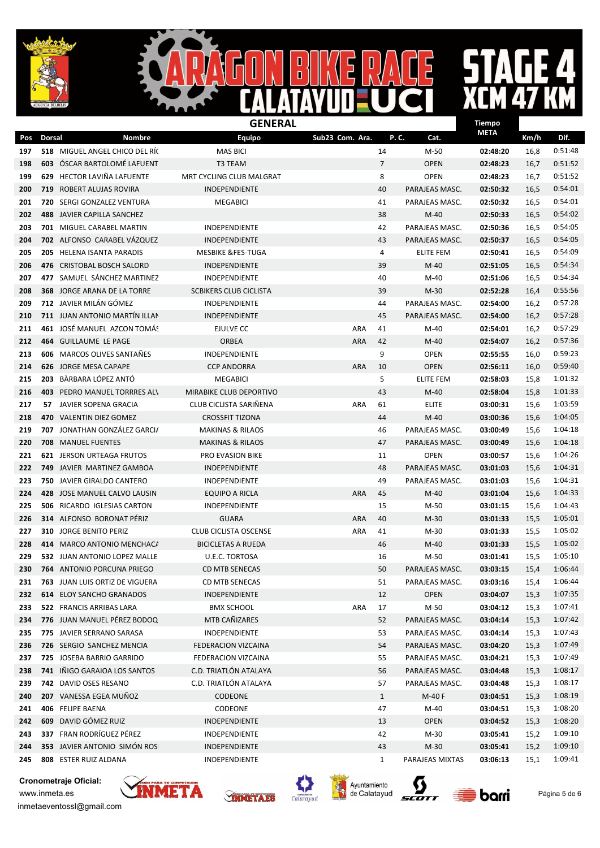$\mathbf{I}$  $\blacksquare$ D

## E  $\boldsymbol{\mathcal{A}}$

 $\overline{\mathsf{B}}$ 

|     | <b>GENERAL</b> |                                     |                               |                 |                |                  |             |      |         |
|-----|----------------|-------------------------------------|-------------------------------|-----------------|----------------|------------------|-------------|------|---------|
| Pos | <b>Dorsal</b>  | Nombre                              | <b>Equipo</b>                 | Sub23 Com. Ara. |                | P.C.<br>Cat.     | <b>META</b> | Km/h | Dif.    |
| 197 |                | 518 MIGUEL ANGEL CHICO DEL RÍO      | <b>MAS BICI</b>               |                 | 14             | $M-50$           | 02:48:20    | 16,8 | 0:51:48 |
| 198 | 603            | ÓSCAR BARTOLOMÉ LAFUENT             | <b>T3 TEAM</b>                |                 | $\overline{7}$ | <b>OPEN</b>      | 02:48:23    | 16,7 | 0:51:52 |
| 199 |                | 629 HECTOR LAVIÑA LAFUENTE          | MRT CYCLING CLUB MALGRAT      |                 | 8              | <b>OPEN</b>      | 02:48:23    | 16,7 | 0:51:52 |
| 200 |                | 719 ROBERT ALUJAS ROVIRA            | <b>INDEPENDIENTE</b>          |                 | 40             | PARAJEAS MASC.   | 02:50:32    | 16,5 | 0:54:01 |
| 201 |                | 720 SERGI GONZALEZ VENTURA          | <b>MEGABICI</b>               |                 | 41             | PARAJEAS MASC.   | 02:50:32    | 16,5 | 0:54:01 |
| 202 |                | 488 JAVIER CAPILLA SANCHEZ          |                               |                 | 38             | $M-40$           | 02:50:33    | 16,5 | 0:54:02 |
| 203 |                | <b>701 MIGUEL CARABEL MARTIN</b>    | INDEPENDIENTE                 |                 | 42             | PARAJEAS MASC.   | 02:50:36    | 16,5 | 0:54:05 |
| 204 |                | 702 ALFONSO CARABEL VÁZQUEZ         | <b>INDEPENDIENTE</b>          |                 | 43             | PARAJEAS MASC.   | 02:50:37    | 16,5 | 0:54:05 |
| 205 |                | 205 HELENA ISANTA PARADIS           | <b>MESBIKE &amp;FES-TUGA</b>  |                 | 4              | <b>ELITE FEM</b> | 02:50:41    | 16,5 | 0:54:09 |
| 206 |                | 476 CRISTOBAL BOSCH SALORD          | INDEPENDIENTE                 |                 | 39             | $M-40$           | 02:51:05    | 16,5 | 0:54:34 |
| 207 |                | 477 SAMUEL SÁNCHEZ MARTINEZ         | INDEPENDIENTE                 |                 | 40             | $M-40$           | 02:51:06    | 16,5 | 0:54:34 |
| 208 |                | <b>368 JORGE ARANA DE LA TORRE</b>  | <b>SCBIKERS CLUB CICLISTA</b> |                 | 39             | $M-30$           | 02:52:28    | 16,4 | 0:55:56 |
| 209 |                | <b>712</b> JAVIER MILÁN GÓMEZ       | <b>INDEPENDIENTE</b>          |                 | 44             | PARAJEAS MASC.   | 02:54:00    | 16,2 | 0:57:28 |
| 210 |                | 711 JUAN ANTONIO MARTÍN ILLAN       | <b>INDEPENDIENTE</b>          |                 | 45             | PARAJEAS MASC.   | 02:54:00    | 16,2 | 0:57:28 |
| 211 |                | 461 JOSÉ MANUEL AZCON TOMÁS         | EJULVE CC                     | ARA             | 41             | M-40             | 02:54:01    | 16,2 | 0:57:29 |
| 212 |                | 464 GUILLAUME LE PAGE               | <b>ORBEA</b>                  | <b>ARA</b>      | 42             | $M-40$           | 02:54:07    | 16,2 | 0:57:36 |
| 213 |                | <b>606</b> MARCOS OLIVES SANTAÑES   | <b>INDEPENDIENTE</b>          |                 | 9              | <b>OPEN</b>      | 02:55:55    | 16,0 | 0:59:23 |
| 214 |                | 626 JORGE MESA CAPAPE               | <b>CCP ANDORRA</b>            | ARA             | 10             | <b>OPEN</b>      | 02:56:11    | 16,0 | 0:59:40 |
| 215 | 203            | BÀRBARA LÓPEZ ANTÓ                  | <b>MEGABICI</b>               |                 | 5              | <b>ELITE FEM</b> | 02:58:03    | 15,8 | 1:01:32 |
| 216 |                | <b>403 PEDRO MANUEL TORRRES ALV</b> | MIRABIKE CLUB DEPORTIVO       |                 | 43             | $M-40$           | 02:58:04    | 15,8 | 1:01:33 |
| 217 | 57.            | JAVIER SOPENA GRACIA                | CLUB CICLISTA SARIÑENA        | ARA             | 61             | <b>ELITE</b>     | 03:00:31    | 15,6 | 1:03:59 |
| 218 |                | 470 VALENTIN DIEZ GOMEZ             | <b>CROSSFIT TIZONA</b>        |                 | 44             | $M-40$           | 03:00:36    | 15,6 | 1:04:05 |
| 219 |                | 707 JONATHAN GONZÁLEZ GARCI/        | <b>MAKINAS &amp; RILAOS</b>   |                 | 46             | PARAJEAS MASC.   | 03:00:49    | 15,6 | 1:04:18 |
| 220 |                | 708 MANUEL FUENTES                  | <b>MAKINAS &amp; RILAOS</b>   |                 | 47             | PARAJEAS MASC.   | 03:00:49    | 15,6 | 1:04:18 |
| 221 |                | <b>621 JERSON URTEAGA FRUTOS</b>    | PRO EVASION BIKE              |                 | 11             | <b>OPEN</b>      | 03:00:57    | 15,6 | 1:04:26 |
| 222 |                | <b>749</b> JAVIER MARTINEZ GAMBOA   | <b>INDEPENDIENTE</b>          |                 | 48             | PARAJEAS MASC.   | 03:01:03    | 15,6 | 1:04:31 |
| 223 |                | 750 JAVIER GIRALDO CANTERO          | INDEPENDIENTE                 |                 | 49             | PARAJEAS MASC.   | 03:01:03    | 15,6 | 1:04:31 |
| 224 |                | 428 JOSE MANUEL CALVO LAUSIN        | <b>EQUIPO A RICLA</b>         | ARA             | 45             | $M-40$           | 03:01:04    | 15,6 | 1:04:33 |
| 225 |                | <b>506 RICARDO IGLESIAS CARTON</b>  | INDEPENDIENTE                 |                 | 15             | M-50             | 03:01:15    | 15,6 | 1:04:43 |
| 226 |                | 314 ALFONSO BORONAT PÉRIZ           | <b>GUARA</b>                  | <b>ARA</b>      | 40             | $M-30$           | 03:01:33    | 15,5 | 1:05:01 |
| 227 |                | 310 JORGE BENITO PERIZ              | <b>CLUB CICLISTA OSCENSE</b>  | ARA             | 41             | M-30             | 03:01:33    | 15,5 | 1:05:02 |
| 228 |                | 414 MARCO ANTONIO MENCHACA          | <b>BICICLETAS A RUEDA</b>     |                 | 46             | $M-40$           | 03:01:33    | 15,5 | 1:05:02 |
| 229 |                | 532 JUAN ANTONIO LOPEZ MALLE        | <b>U.E.C. TORTOSA</b>         |                 | 16             | $M-50$           | 03:01:41    | 15,5 | 1:05:10 |
| 230 |                | 764 ANTONIO PORCUNA PRIEGO          | CD MTB SENECAS                |                 | 50             | PARAJEAS MASC.   | 03:03:15    | 15,4 | 1:06:44 |
| 231 |                | 763 JUAN LUIS ORTIZ DE VIGUERA      | <b>CD MTB SENECAS</b>         |                 | 51             | PARAJEAS MASC.   | 03:03:16    | 15,4 | 1:06:44 |
| 232 |                | <b>614 ELOY SANCHO GRANADOS</b>     | INDEPENDIENTE                 |                 | 12             | <b>OPEN</b>      | 03:04:07    | 15,3 | 1:07:35 |
| 233 |                | 522 FRANCIS ARRIBAS LARA            | <b>BMX SCHOOL</b>             | ARA             | 17             | M-50             | 03:04:12    | 15,3 | 1:07:41 |
| 234 |                | 776 JUAN MANUEL PÉREZ BODOQ         | MTB CAÑIZARES                 |                 | 52             | PARAJEAS MASC.   | 03:04:14    | 15,3 | 1:07:42 |
| 235 |                | 775 JAVIER SERRANO SARASA           | INDEPENDIENTE                 |                 | 53             | PARAJEAS MASC.   | 03:04:14    | 15,3 | 1:07:43 |
| 236 |                | 726 SERGIO SANCHEZ MENCIA           | FEDERACION VIZCAINA           |                 | 54             | PARAJEAS MASC.   | 03:04:20    | 15,3 | 1:07:49 |
| 237 |                | 725 JOSEBA BARRIO GARRIDO           | FEDERACION VIZCAINA           |                 | 55             | PARAJEAS MASC.   | 03:04:21    | 15,3 | 1:07:49 |
| 238 |                | 741 IÑIGO GARAIOA LOS SANTOS        | C.D. TRIATLÓN ATALAYA         |                 | 56             | PARAJEAS MASC.   | 03:04:48    | 15,3 | 1:08:17 |
| 239 |                | 742 DAVID OSES RESANO               | C.D. TRIATLÓN ATALAYA         |                 | 57             | PARAJEAS MASC.   | 03:04:48    | 15,3 | 1:08:17 |
| 240 |                | 207 VANESSA EGEA MUÑOZ              | CODEONE                       |                 | $\mathbf{1}$   | M-40 F           | 03:04:51    | 15,3 | 1:08:19 |
| 241 |                | 406 FELIPE BAENA                    | CODEONE                       |                 | 47             | M-40             | 03:04:51    | 15,3 | 1:08:20 |
| 242 |                | 609 DAVID GÓMEZ RUIZ                | INDEPENDIENTE                 |                 | 13             | <b>OPEN</b>      | 03:04:52    | 15,3 | 1:08:20 |
| 243 |                | 337 FRAN RODRÍGUEZ PÉREZ            | INDEPENDIENTE                 |                 | 42             | M-30             | 03:05:41    | 15,2 | 1:09:10 |
| 244 |                | 353 JAVIER ANTONIO SIMÓN ROS        | INDEPENDIENTE                 |                 | 43             | $M-30$           | 03:05:41    | 15,2 | 1:09:10 |
| 245 |                | 808 ESTER RUIZ ALDANA               | INDEPENDIENTE                 |                 | $\mathbf{1}$   | PARAJEAS MIXTAS  | 03:06:13    | 15,1 | 1:09:41 |